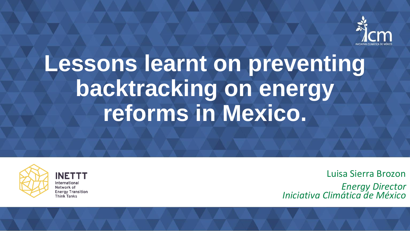

# **Lessons learnt on preventing backtracking on energy reforms in Mexico.**



**INETTT** International Network of **Energy Transition Think Tanks** 

Luisa Sierra Brozon

*Energy Director Iniciativa Climática de México*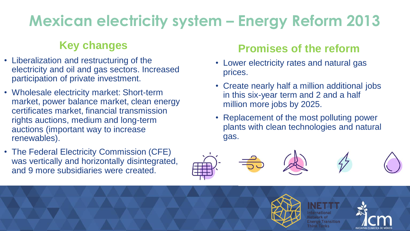### **Mexican electricity system – Energy Reform 2013**

- Liberalization and restructuring of the electricity and oil and gas sectors. Increased participation of private investment.
- Wholesale electricity market: Short-term market, power balance market, clean energy certificates market, financial transmission rights auctions, medium and long-term auctions (important way to increase renewables).
- The Federal Electricity Commission (CFE) was vertically and horizontally disintegrated, and 9 more subsidiaries were created.

#### **Key changes Promises of the reform**

- Lower electricity rates and natural gas prices.
- Create nearly half a million additional jobs in this six-year term and 2 and a half million more jobs by 2025.
- Replacement of the most polluting power plants with clean technologies and natural gas.



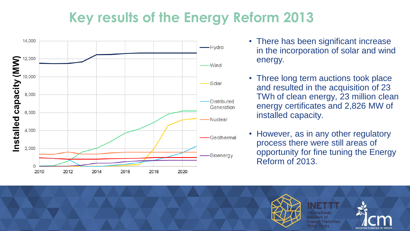#### **Key results of the Energy Reform 2013**



- There has been significant increase in the incorporation of solar and wind energy.
- Three long term auctions took place and resulted in the acquisition of 23 TWh of clean energy, 23 million clean energy certificates and 2,826 MW of installed capacity.
- However, as in any other regulatory process there were still areas of opportunity for fine tuning the Energy Reform of 2013.

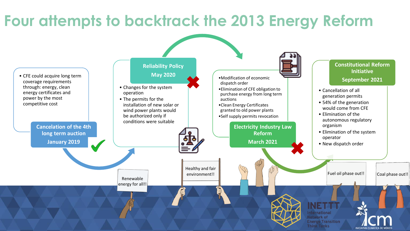#### **Four attempts to backtrack the 2013 Energy Reform**

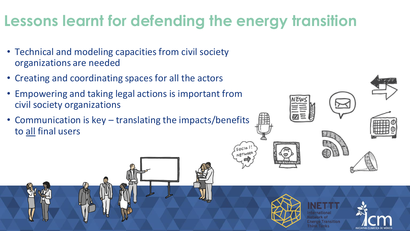#### **Lessons learnt for defending the energy transition**

- Technical and modeling capacities from civil society organizations are needed
- Creating and coordinating spaces for all the actors
- Empowering and taking legal actions is important from civil society organizations
- Communication is key translating the impacts/benefits to all final users



 $Socio<sup>1</sup>$ **NETWORK**